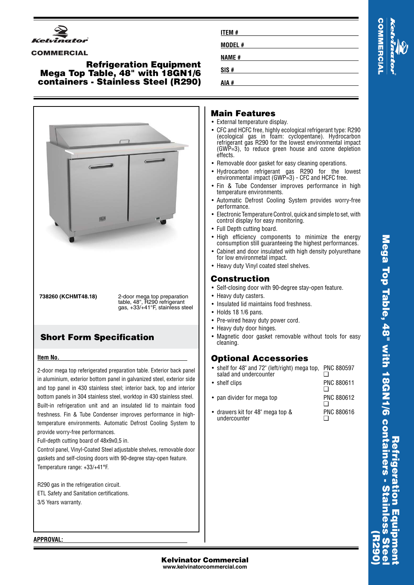

#### **COMMERCIAL**

#### **Refrigeration Equipment Mega Top Table, 48" with 18GN1/6 containers - Stainless Steel (R290)**



#### **Item No.**

2-door mega top referigerated preparation table. Exterior back panel in aluminium, exterior bottom panel in galvanized steel, exterior side and top panel in 430 stainless steel; interior back, top and interior bottom panels in 304 stainless steel, worktop in 430 stainless steel. Built-in refrigeration unit and an insulated lid to maintain food freshness. Fin & Tube Condenser improves performance in hightemperature environments. Automatic Defrost Cooling System to provide worry-free performances.

Full-depth cutting board of 48x9x0,5 in.

Control panel, Vinyl-Coated Steel adjustable shelves, removable door gaskets and self-closing doors with 90-degree stay-open feature. Temperature range: +33/+41°F.

R290 gas in the refrigeration circuit. ETL Safety and Sanitation certifications. 3/5 Years warranty.

| <b>ITEM#</b> | Ř |
|--------------|---|
| MODEL #      | ī |
| <b>NAME#</b> | ņ |
| SIS#         | Ē |
| AIA #        |   |

#### **Main Features**

- External temperature display.
- CFC and HCFC free, highly ecological refrigerant type: R290 (ecological gas in foam: cyclopentane). Hydrocarbon refrigerant gas R290 for the lowest environmental impact (GWP=3), to reduce green house and ozone depletion effects.
- Removable door gasket for easy cleaning operations.
- •• Hydrocarbon refrigerant gas R290 for the lowest environmental impact (GWP=3) - CFC and HCFC free.
- Fin & Tube Condenser improves performance in high temperature environments.
- • Automatic Defrost Cooling System provides worry-free performance.
- • Electronic Temperature Control, quick and simple to set, with control display for easy monitoring.
- Full Depth cutting board.
- High efficiency components to minimize the energy consumption still guaranteeing the highest performances.
- • Cabinet and door insulated with high density polyurethane for low environmetal impact.
- Heavy duty Vinyl coated steel shelves.

## **Construction**

- Self-closing door with 90-degree stay-open feature.
- Heavy duty casters.
- Insulated lid maintains food freshness.
- Holds 18 1/6 pans.
- Pre-wired heavy duty power cord.
- Heavy duty door hinges.
- Magnetic door gasket removable without tools for easy cleaning.

## **Optional Accessories**

- shelf for 48" and 72" (left/right) mega top, salad and undercounter PNC 880597 ❑
- shelf clips PNC 880611 ❑ •pan divider for mega top PNC 880612  $\Box$
- drawers kit for 48" mega top & undercounter PNC 880616 ❑

**APPROVAL:**